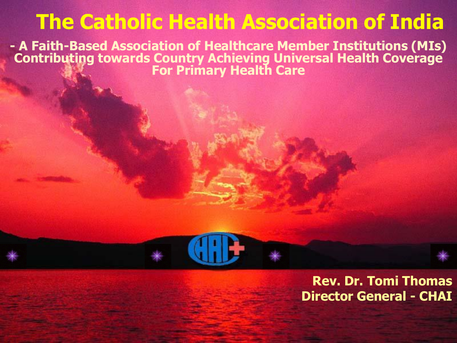## **The Catholic Health Association of India**

**- A Faith-Based Association of Healthcare Member Institutions (MIs) Contributing towards Country Achieving Universal Health Coverage For Primary Health Care**

> **Rev. Dr. Tomi Thomas Director General - CHAI**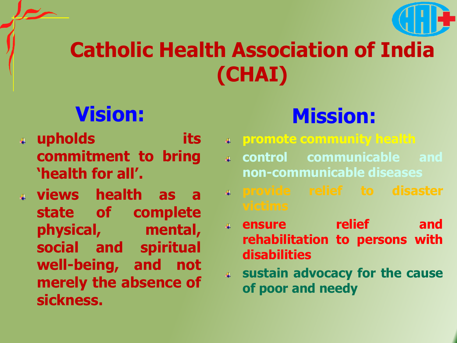# **Catholic Health Association of India (CHAI)**

# **Vision:**

- **upholds its commitment to bring 'health for all'.**
- **views health as a state of complete physical, mental, social and spiritual well-being, and not merely the absence of sickness.**

# **Mission:**

- **promote community health**
	- **control communicable and non-communicable diseases**
	- **provide relief to disaster**
	- **ensure relief and rehabilitation to persons with disabilities**
	- **sustain advocacy for the cause of poor and needy**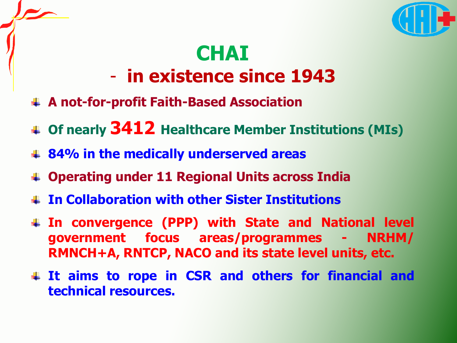

# **CHAI**

### - **in existence since 1943**

- **A not-for-profit Faith-Based Association**
- **Of nearly 3412 Healthcare Member Institutions (MIs)**
- **84% in the medically underserved areas**
- **Operating under 11 Regional Units across India**
- **In Collaboration with other Sister Institutions**
- **In convergence (PPP) with State and National level government focus areas/programmes - NRHM/ RMNCH+A, RNTCP, NACO and its state level units, etc.**
- **It aims to rope in CSR and others for financial and technical resources.**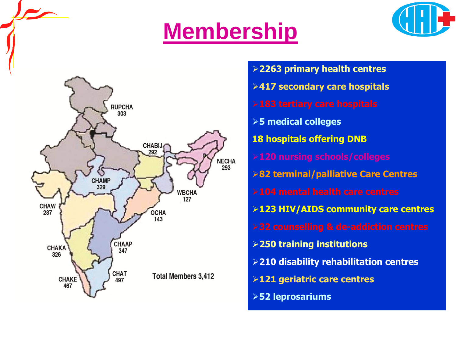# **Membership**





 **primary health centres secondary care hospitals medical colleges hospitals offering DNB terminal/palliative Care Centres HIV/AIDS community care centres training institutions disability rehabilitation centres geriatric care centres leprosariums**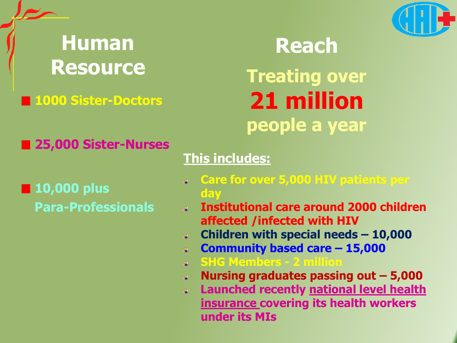

## **Human Resource**

### **1000 Sister-Doctors**

**Reach**

**Treating over 21 million people a year**

**25,000 Sister-Nurses** 

**10,000 plus Para-Professionals**

### **This includes:**

- **Care for over 5,000 HIV patients per day**
- **Institutional care around 2000 children affected /infected with HIV**
- **Children with special needs – 10,000**
- **Community based care – 15,000**  $\ddot{\bullet}$
- **SHG Members - 2 million**
- **Nursing graduates passing out – 5,000**
- **Launched recently national level health insurance covering its health workers under its MIs**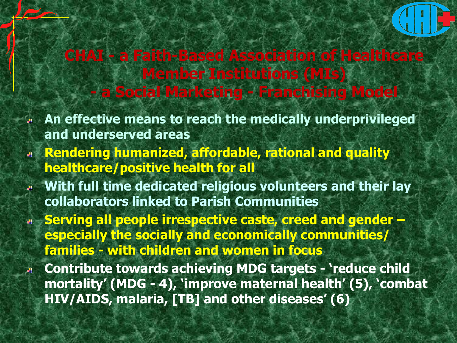

### **CHAI - a Faith-Based Association of Healthcare Member Institutions (MIs) - a Social Marketing - Franchising Model**

- **An effective means to reach the medically underprivileged and underserved areas**
- **Rendering humanized, affordable, rational and quality healthcare/positive health for all**
- **With full time dedicated religious volunteers and their lay collaborators linked to Parish Communities**
- **Serving all people irrespective caste, creed and gender – especially the socially and economically communities/ families - with children and women in focus**
- **Contribute towards achieving MDG targets - 'reduce child mortality' (MDG - 4), 'improve maternal health' (5), 'combat HIV/AIDS, malaria, [TB] and other diseases' (6)**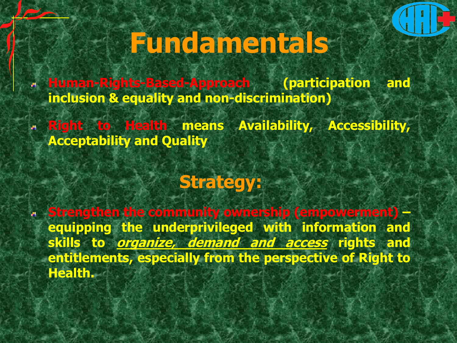# **Fundamentals**

**Human-Rights-Based-Approach (participation and inclusion & equality and non-discrimination)**

**Right to Health means Availability, Accessibility, Acceptability and Quality**

### **Strategy:**

**Strengthen the community ownership (empowerment) – equipping the underprivileged with information and skills to organize, demand and access rights and entitlements, especially from the perspective of Right to Health.**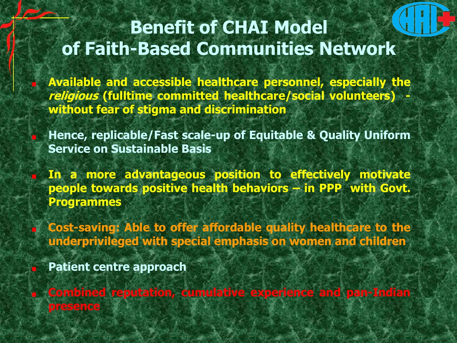### **Benefit of CHAI Model of Faith-Based Communities Network**

**Available and accessible healthcare personnel, especially the religious (fulltime committed healthcare/social volunteers) without fear of stigma and discrimination**

**Hence, replicable/Fast scale-up of Equitable & Quality Uniform Service on Sustainable Basis**

**In a more advantageous position to effectively motivate people towards positive health behaviors – in PPP with Govt. Programmes**

**Cost-saving: Able to offer affordable quality healthcare to the underprivileged with special emphasis on women and children**

**Patient centre approach**

**Combined reputation, cumulative experience and pan-Indian presence**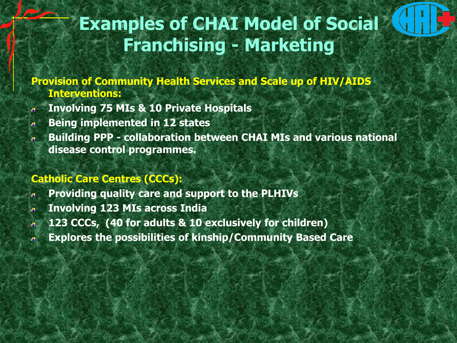### **Examples of CHAI Model of Social Franchising - Marketing**

**Provision of Community Health Services and Scale up of HIV/AIDS Interventions:**

- **Involving 75 MIs & 10 Private Hospitals**
- **Being implemented in 12 states**  $\mathbf{a}$
- **Building PPP - collaboration between CHAI MIs and various national disease control programmes.**

#### **Catholic Care Centres (CCCs):**

- **Providing quality care and support to the PLHIVs**
- **Involving 123 MIs across India**  ц.
- **123 CCCs, (40 for adults & 10 exclusively for children)**
- **Explores the possibilities of kinship/Community Based Care**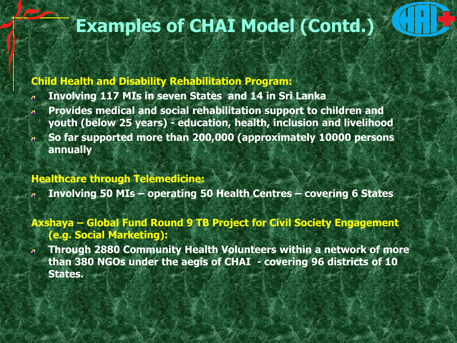### **Examples of CHAI Model (Contd.)**

#### **Child Health and Disability Rehabilitation Program:**

- **Involving 117 MIs in seven States and 14 in Sri Lanka** аť,
- **Provides medical and social rehabilitation support to children and youth (below 25 years) - education, health, inclusion and livelihood**
- **So far supported more than 200,000 (approximately 10000 persons annually**

#### **Healthcare through Telemedicine:**

- **Involving 50 MIs – operating 50 Health Centres – covering 6 States**
- **Axshaya – Global Fund Round 9 TB Project for Civil Society Engagement (e.g. Social Marketing):**
- **Through 2880 Community Health Volunteers within a network of more**   $\mathbf{a}$ **than 380 NGOs under the aegis of CHAI - covering 96 districts of 10 States.**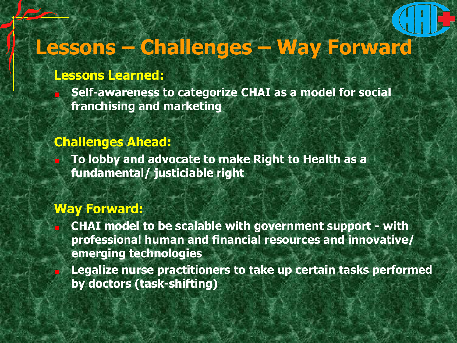# **Lessons – Challenges – Way Forward**

#### **Lessons Learned:**

**Self-awareness to categorize CHAI as a model for social franchising and marketing** 

#### **Challenges Ahead:**

**To lobby and advocate to make Right to Health as a fundamental/ justiciable right** 

#### **Way Forward:**

**CHAI model to be scalable with government support - with professional human and financial resources and innovative/ emerging technologies**

**Legalize nurse practitioners to take up certain tasks performed by doctors (task-shifting)**